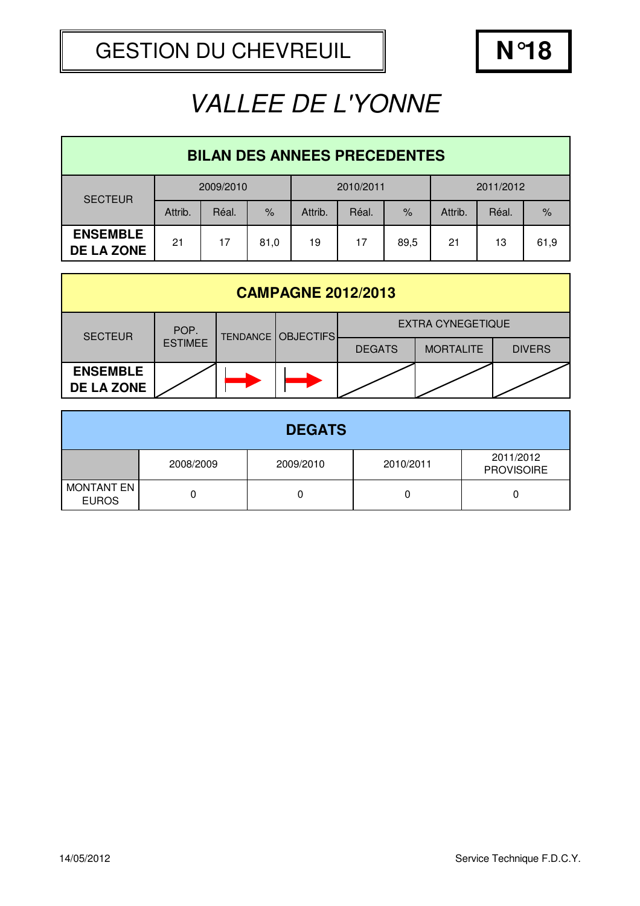| <b>BILAN DES ANNEES PRECEDENTES</b>  |           |       |           |         |       |           |         |       |               |
|--------------------------------------|-----------|-------|-----------|---------|-------|-----------|---------|-------|---------------|
| <b>SECTEUR</b>                       | 2009/2010 |       | 2010/2011 |         |       | 2011/2012 |         |       |               |
|                                      | Attrib.   | Réal. | $\%$      | Attrib. | Réal. | $\%$      | Attrib. | Réal. | $\frac{9}{6}$ |
| <b>ENSEMBLE</b><br><b>DE LA ZONE</b> | 21        | 17    | 81,0      | 19      | 17    | 89,5      | 21      | 13    | 61,9          |

| <b>CAMPAGNE 2012/2013</b>            |                |                           |  |                          |                  |               |  |
|--------------------------------------|----------------|---------------------------|--|--------------------------|------------------|---------------|--|
| <b>SECTEUR</b>                       | POP.           | <b>TENDANCE OBJECTIFS</b> |  | <b>EXTRA CYNEGETIQUE</b> |                  |               |  |
|                                      | <b>ESTIMEE</b> |                           |  | <b>DEGATS</b>            | <b>MORTALITE</b> | <b>DIVERS</b> |  |
| <b>ENSEMBLE</b><br><b>DE LA ZONE</b> |                |                           |  |                          |                  |               |  |

|                                   |           | <b>DEGATS</b> |           |                                |
|-----------------------------------|-----------|---------------|-----------|--------------------------------|
|                                   | 2008/2009 | 2009/2010     | 2010/2011 | 2011/2012<br><b>PROVISOIRE</b> |
| <b>MONTANT EN</b><br><b>EUROS</b> |           |               |           |                                |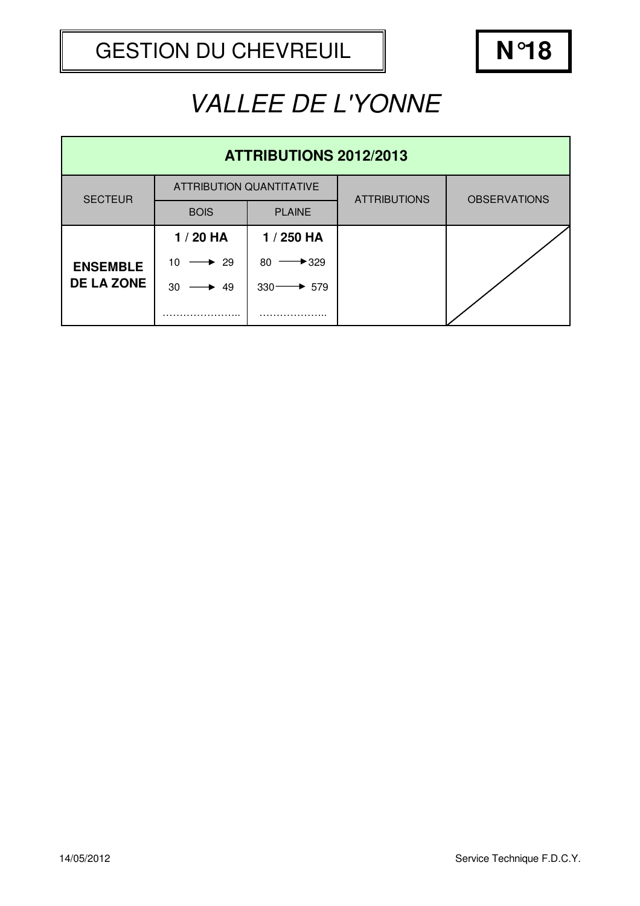| <b>ATTRIBUTIONS 2012/2013</b> |                                 |                    |                     |                     |  |  |
|-------------------------------|---------------------------------|--------------------|---------------------|---------------------|--|--|
| <b>SECTEUR</b>                | <b>ATTRIBUTION QUANTITATIVE</b> |                    | <b>ATTRIBUTIONS</b> | <b>OBSERVATIONS</b> |  |  |
|                               | <b>BOIS</b>                     | <b>PLAINE</b>      |                     |                     |  |  |
|                               | $1/20$ HA                       | 1 / 250 HA         |                     |                     |  |  |
| <b>ENSEMBLE</b>               | 10<br>$\div$ 29                 | 80<br>$+329$       |                     |                     |  |  |
| <b>DE LA ZONE</b>             | 30<br>49                        | $330 -$<br>$+ 579$ |                     |                     |  |  |
|                               |                                 |                    |                     |                     |  |  |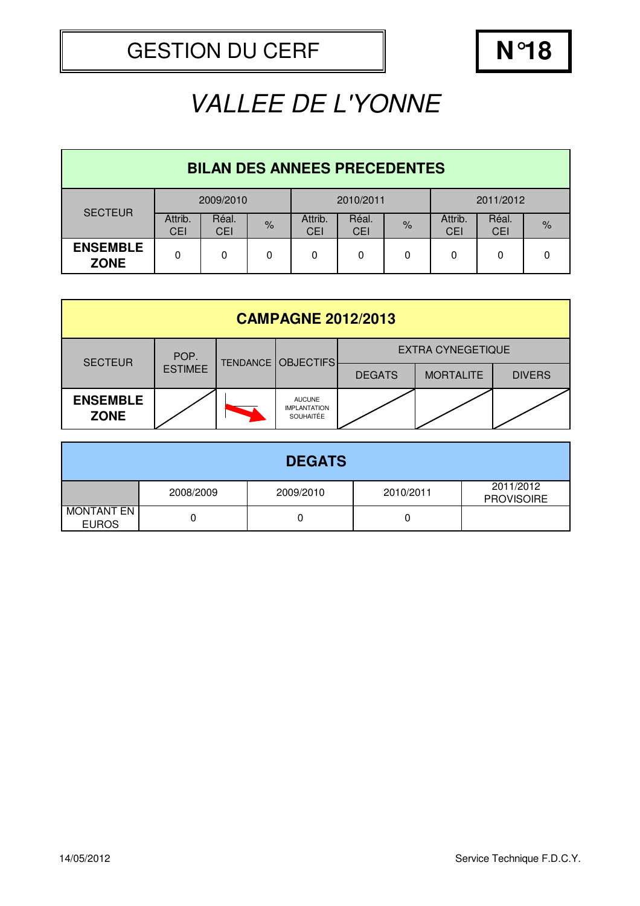| <b>BILAN DES ANNEES PRECEDENTES</b> |                       |                     |               |                |                     |      |                       |              |      |  |
|-------------------------------------|-----------------------|---------------------|---------------|----------------|---------------------|------|-----------------------|--------------|------|--|
| <b>SECTEUR</b>                      |                       | 2009/2010           |               |                | 2010/2011           |      |                       | 2011/2012    |      |  |
|                                     | Attrib.<br><b>CEI</b> | Réal.<br><b>CEI</b> | $\frac{9}{6}$ | Attrib.<br>CEI | Réal.<br><b>CEI</b> | $\%$ | Attrib.<br><b>CEI</b> | Réal.<br>CEI | $\%$ |  |
| <b>ENSEMBLE</b><br><b>ZONE</b>      | 0                     | 0                   | 0             | 0              | 0                   | 0    | 0                     | 0            | 0    |  |

| <b>CAMPAGNE 2012/2013</b>      |                |  |                                                          |                          |                  |               |  |
|--------------------------------|----------------|--|----------------------------------------------------------|--------------------------|------------------|---------------|--|
| <b>SECTEUR</b>                 | POP.           |  | <b>TENDANCE   OBJECTIFS</b>                              | <b>EXTRA CYNEGETIQUE</b> |                  |               |  |
|                                | <b>ESTIMEE</b> |  |                                                          | <b>DEGATS</b>            | <b>MORTALITE</b> | <b>DIVERS</b> |  |
| <b>ENSEMBLE</b><br><b>ZONE</b> |                |  | <b>AUCUNE</b><br><b>IMPLANTATION</b><br><b>SOUHAITÉE</b> |                          |                  |               |  |

|                                   |           | <b>DEGATS</b> |           |                                |
|-----------------------------------|-----------|---------------|-----------|--------------------------------|
|                                   | 2008/2009 | 2009/2010     | 2010/2011 | 2011/2012<br><b>PROVISOIRE</b> |
| <b>MONTANT EN</b><br><b>EUROS</b> |           |               |           |                                |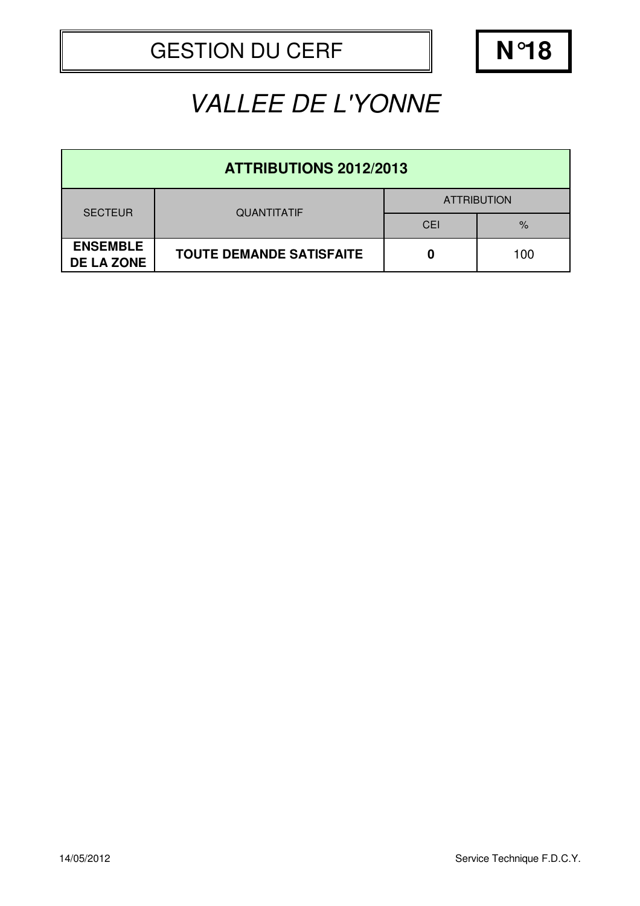| <b>ATTRIBUTIONS 2012/2013</b>        |                                 |                    |      |  |  |
|--------------------------------------|---------------------------------|--------------------|------|--|--|
| <b>SECTEUR</b>                       | <b>QUANTITATIF</b>              | <b>ATTRIBUTION</b> |      |  |  |
|                                      |                                 | CEI                | $\%$ |  |  |
| <b>ENSEMBLE</b><br><b>DE LA ZONE</b> | <b>TOUTE DEMANDE SATISFAITE</b> | 0                  | 100  |  |  |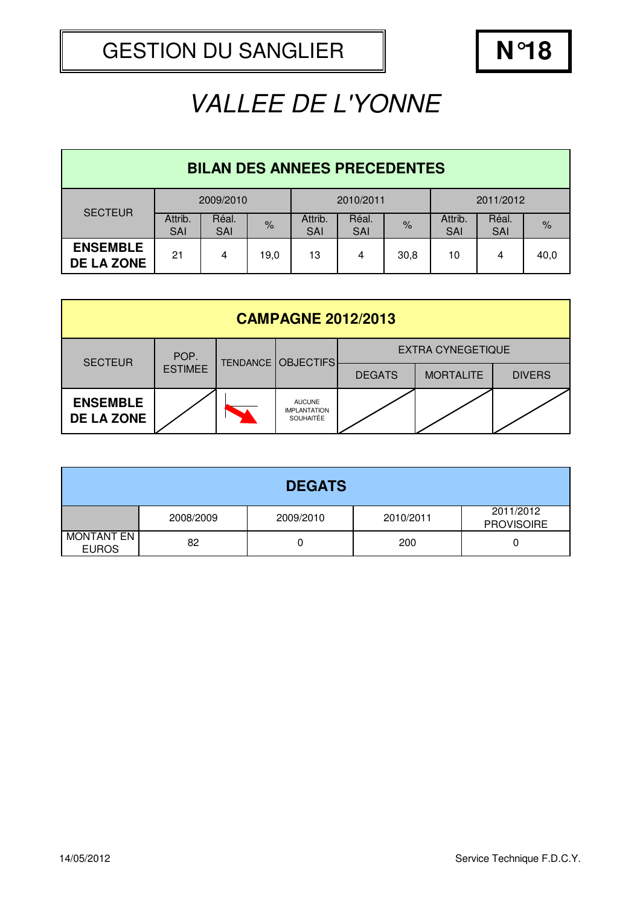| <b>BILAN DES ANNEES PRECEDENTES</b>  |                       |                     |      |                |                     |      |                       |                     |      |  |
|--------------------------------------|-----------------------|---------------------|------|----------------|---------------------|------|-----------------------|---------------------|------|--|
| <b>SECTEUR</b>                       |                       | 2009/2010           |      |                | 2010/2011           |      |                       | 2011/2012           |      |  |
|                                      | Attrib.<br><b>SAI</b> | Réal.<br><b>SAI</b> | $\%$ | Attrib.<br>SAI | Réal.<br><b>SAI</b> | $\%$ | Attrib.<br><b>SAI</b> | Réal.<br><b>SAI</b> | $\%$ |  |
| <b>ENSEMBLE</b><br><b>DE LA ZONE</b> | 21                    | 4                   | 19,0 | 13             | 4                   | 30,8 | 10                    | 4                   | 40,0 |  |

| <b>CAMPAGNE 2012/2013</b>            |                |  |                                                          |                          |                  |               |  |
|--------------------------------------|----------------|--|----------------------------------------------------------|--------------------------|------------------|---------------|--|
| <b>SECTEUR</b>                       | POP.           |  | <b>TENDANCE   OBJECTIFS</b>                              | <b>EXTRA CYNEGETIQUE</b> |                  |               |  |
|                                      | <b>ESTIMEE</b> |  |                                                          | <b>DEGATS</b>            | <b>MORTALITE</b> | <b>DIVERS</b> |  |
| <b>ENSEMBLE</b><br><b>DE LA ZONE</b> |                |  | <b>AUCUNE</b><br><b>IMPLANTATION</b><br><b>SOUHAITÉE</b> |                          |                  |               |  |

|                                   |           | <b>DEGATS</b> |           |                                |
|-----------------------------------|-----------|---------------|-----------|--------------------------------|
|                                   | 2008/2009 | 2009/2010     | 2010/2011 | 2011/2012<br><b>PROVISOIRE</b> |
| <b>MONTANT EN</b><br><b>EUROS</b> | 82        |               | 200       |                                |